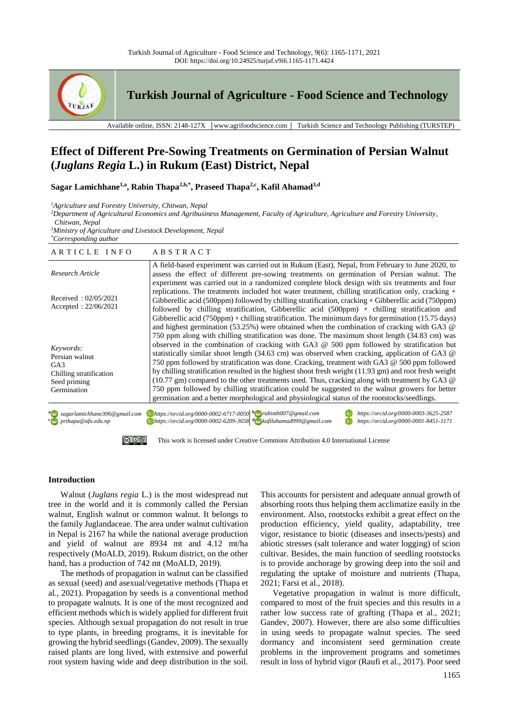

**Turkish Journal of Agriculture - Food Science and Technology**

Available online, ISSN: 2148-127X │www.agrifoodscience.com │ Turkish Science and Technology Publishing (TURSTEP)

# **Effect of Different Pre-Sowing Treatments on Germination of Persian Walnut (***Juglans Regia* **L.) in Rukum (East) District, Nepal**

**Sagar Lamichhane1,a, Rabin Thapa2,b,\* , Praseed Thapa2,c, Kafil Ahamad3,d**

*<sup>1</sup>Agriculture and Forestry University, Chitwan, Nepal*

*<sup>2</sup>Department of Agricultural Economics and Agribusiness Management, Faculty of Agriculture, Agriculture and Forestry University,* 

*Chitwan, Nepal*

*<sup>3</sup>Ministry of Agriculture and Livestock Development, Nepal \*Corresponding author*

| ARTICLE INFO                                                                                             | ABSTRACT                                                                                                                                                                                                                                                                                                                                                                                                                                                                                                                                                                                                                                                                                                                                                                                                                             |  |  |  |  |  |
|----------------------------------------------------------------------------------------------------------|--------------------------------------------------------------------------------------------------------------------------------------------------------------------------------------------------------------------------------------------------------------------------------------------------------------------------------------------------------------------------------------------------------------------------------------------------------------------------------------------------------------------------------------------------------------------------------------------------------------------------------------------------------------------------------------------------------------------------------------------------------------------------------------------------------------------------------------|--|--|--|--|--|
| Research Article                                                                                         | A field-based experiment was carried out in Rukum (East), Nepal, from February to June 2020, to<br>assess the effect of different pre-sowing treatments on germination of Persian walnut. The<br>experiment was carried out in a randomized complete block design with six treatments and four                                                                                                                                                                                                                                                                                                                                                                                                                                                                                                                                       |  |  |  |  |  |
| Received: $02/05/2021$<br>Accepted : $22/06/2021$                                                        | replications. The treatments included hot water treatment, chilling stratification only, cracking $+$<br>Gibberellic acid (500ppm) followed by chilling stratification, cracking + Gibberellic acid (750ppm)<br>followed by chilling stratification, Gibberellic acid $(500ppm)$ + chilling stratification and<br>Gibberellic acid (750ppm) + chilling stratification. The minimum days for germination (15.75 days)<br>and highest germination (53.25%) were obtained when the combination of cracking with GA3 $\omega$                                                                                                                                                                                                                                                                                                            |  |  |  |  |  |
| Keywords:<br>Persian walnut<br>GA <sub>3</sub><br>Chilling stratification<br>Seed priming<br>Germination | 750 ppm along with chilling stratification was done. The maximum shoot length (34.83 cm) was<br>observed in the combination of cracking with GA3 $@$ 500 ppm followed by stratification but<br>statistically similar shoot length (34.63 cm) was observed when cracking, application of GA3 $\omega$<br>750 ppm followed by stratification was done. Cracking, treatment with GA3 @ 500 ppm followed<br>by chilling stratification resulted in the highest shoot fresh weight (11.93 gm) and root fresh weight<br>$(10.77 \text{ gm})$ compared to the other treatments used. Thus, cracking along with treatment by GA3 $\omega$<br>750 ppm followed by chilling stratification could be suggested to the walnut growers for better<br>germination and a better morphological and physiological status of the rootstocks/seedlings. |  |  |  |  |  |
| <sup>a</sup> Sagarlamichhane306@gmail.com<br><sup>c</sup> o prthapa@afu.edu.np                           | $\Box$ https://orcid.org/0000-0002-6717-0050 b $\Box$ rabinth007@gmail.com<br>https://orcid.org/0000-0003-3625-2587<br>$\Box$ https://orcid.org/0000-0002-6209-3658 $\Box$ kafilahamad999@gmail.com<br>https://orcid.org/0000-0001-8451-1171                                                                                                                                                                                                                                                                                                                                                                                                                                                                                                                                                                                         |  |  |  |  |  |



## **Introduction**

Walnut (*Juglans regia* L.) is the most widespread nut tree in the world and it is commonly called the Persian walnut, English walnut or common walnut. It belongs to the family Juglandaceae. The area under walnut cultivation in Nepal is 2167 ha while the national average production and yield of walnut are 8934 mt and 4.12 mt/ha respectively (MoALD, 2019). Rukum district, on the other hand, has a production of 742 mt (MoALD, 2019).

The methods of propagation in walnut can be classified as sexual (seed) and asexual/vegetative methods (Thapa et al., 2021). Propagation by seeds is a conventional method to propagate walnuts. It is one of the most recognized and efficient methods which is widely applied for different fruit species. Although sexual propagation do not result in true to type plants, in breeding programs, it is inevitable for growing the hybrid seedlings (Gandev, 2009). The sexually raised plants are long lived, with extensive and powerful root system having wide and deep distribution in the soil.

This accounts for persistent and adequate annual growth of absorbing roots thus helping them acclimatize easily in the environment. Also, rootstocks exhibit a great effect on the production efficiency, yield quality, adaptability, tree vigor, resistance to biotic (diseases and insects/pests) and abiotic stresses (salt tolerance and water logging) of scion cultivar. Besides, the main function of seedling rootstocks is to provide anchorage by growing deep into the soil and regulating the uptake of moisture and nutrients (Thapa, 2021; Farsi et al., 2018).

Vegetative propagation in walnut is more difficult, compared to most of the fruit species and this results in a rather low success rate of grafting (Thapa et al., 2021; Gandev, 2007). However, there are also some difficulties in using seeds to propagate walnut species. The seed dormancy and inconsistent seed germination create problems in the improvement programs and sometimes result in loss of hybrid vigor (Raufi et al., 2017). Poor seed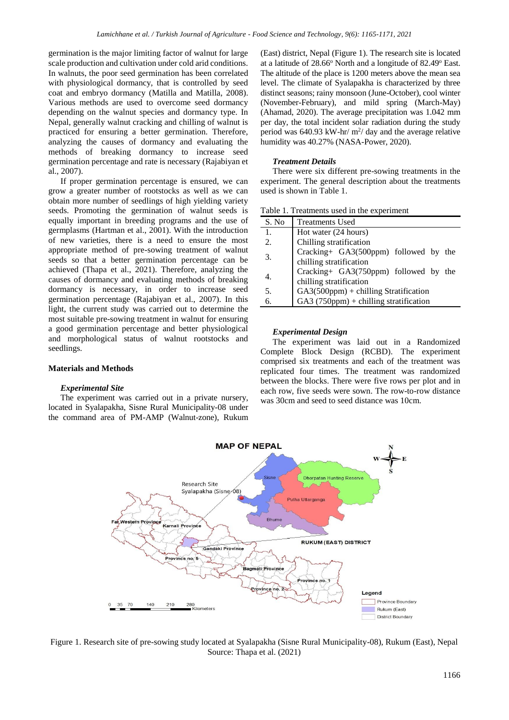germination is the major limiting factor of walnut for large scale production and cultivation under cold arid conditions. In walnuts, the poor seed germination has been correlated with physiological dormancy, that is controlled by seed coat and embryo dormancy (Matilla and Matilla, 2008). Various methods are used to overcome seed dormancy depending on the walnut species and dormancy type. In Nepal, generally walnut cracking and chilling of walnut is practiced for ensuring a better germination. Therefore, analyzing the causes of dormancy and evaluating the methods of breaking dormancy to increase seed germination percentage and rate is necessary (Rajabiyan et al., 2007).

If proper germination percentage is ensured, we can grow a greater number of rootstocks as well as we can obtain more number of seedlings of high yielding variety seeds. Promoting the germination of walnut seeds is equally important in breeding programs and the use of germplasms (Hartman et al., 2001). With the introduction of new varieties, there is a need to ensure the most appropriate method of pre-sowing treatment of walnut seeds so that a better germination percentage can be achieved (Thapa et al., 2021). Therefore, analyzing the causes of dormancy and evaluating methods of breaking dormancy is necessary, in order to increase seed germination percentage (Rajabiyan et al., 2007). In this light, the current study was carried out to determine the most suitable pre-sowing treatment in walnut for ensuring a good germination percentage and better physiological and morphological status of walnut rootstocks and seedlings.

# **Materials and Methods**

# *Experimental Site*

The experiment was carried out in a private nursery, located in Syalapakha, Sisne Rural Municipality-08 under the command area of PM-AMP (Walnut-zone), Rukum

(East) district, Nepal (Figure 1). The research site is located at a latitude of  $28.66^{\circ}$  North and a longitude of  $82.49^{\circ}$  East. The altitude of the place is 1200 meters above the mean sea level. The climate of Syalapakha is characterized by three distinct seasons; rainy monsoon (June-October), cool winter (November-February), and mild spring (March-May) (Ahamad, 2020). The average precipitation was 1.042 mm per day, the total incident solar radiation during the study period was 640.93 kW-hr/ $m^2$ / day and the average relative humidity was 40.27% (NASA-Power, 2020).

## *Treatment Details*

There were six different pre-sowing treatments in the experiment. The general description about the treatments used is shown in Table 1.

| Table 1. Treatments used in the experiment |  |  |
|--------------------------------------------|--|--|
|--------------------------------------------|--|--|

| S. No | <b>Treatments Used</b>                         |  |  |  |  |
|-------|------------------------------------------------|--|--|--|--|
| 1.    | Hot water (24 hours)                           |  |  |  |  |
| 2.    | Chilling stratification                        |  |  |  |  |
| 3.    | Cracking+ GA3(500ppm) followed by the          |  |  |  |  |
|       | chilling stratification                        |  |  |  |  |
| 4.    | Cracking+ GA3(750ppm) followed by the          |  |  |  |  |
|       | chilling stratification                        |  |  |  |  |
| 5.    | $GA3(500ppm) + \text{chilling Stratification}$ |  |  |  |  |
| б.    | GA3 $(750ppm) +$ chilling stratification       |  |  |  |  |

#### *Experimental Design*

The experiment was laid out in a Randomized Complete Block Design (RCBD). The experiment comprised six treatments and each of the treatment was replicated four times. The treatment was randomized between the blocks. There were five rows per plot and in each row, five seeds were sown. The row-to-row distance was 30cm and seed to seed distance was 10cm.



Figure 1. Research site of pre-sowing study located at Syalapakha (Sisne Rural Municipality-08), Rukum (East), Nepal Source: Thapa et al. (2021)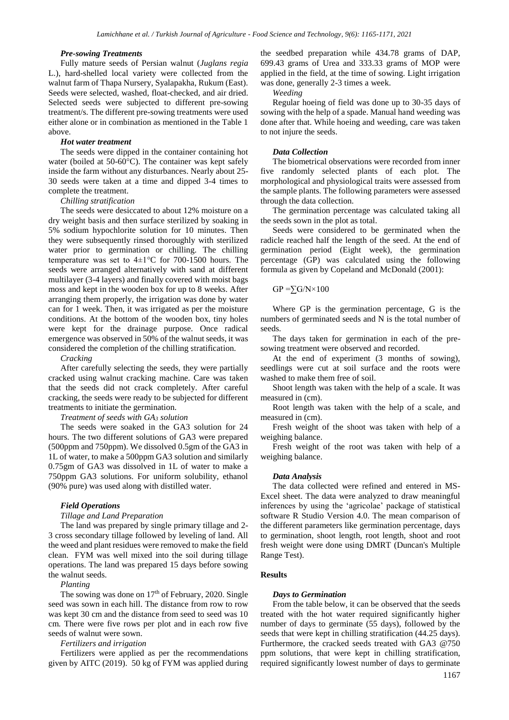#### *Pre-sowing Treatments*

Fully mature seeds of Persian walnut (*Juglans regia* L.), hard-shelled local variety were collected from the walnut farm of Thapa Nursery, Syalapakha, Rukum (East). Seeds were selected, washed, float-checked, and air dried. Selected seeds were subjected to different pre-sowing treatment/s. The different pre-sowing treatments were used either alone or in combination as mentioned in the Table 1 above.

#### *Hot water treatment*

The seeds were dipped in the container containing hot water (boiled at 50-60°C). The container was kept safely inside the farm without any disturbances. Nearly about 25- 30 seeds were taken at a time and dipped 3-4 times to complete the treatment.

## *Chilling stratification*

The seeds were desiccated to about 12% moisture on a dry weight basis and then surface sterilized by soaking in 5% sodium hypochlorite solution for 10 minutes. Then they were subsequently rinsed thoroughly with sterilized water prior to germination or chilling. The chilling temperature was set to 4±1°C for 700-1500 hours. The seeds were arranged alternatively with sand at different multilayer (3-4 layers) and finally covered with moist bags moss and kept in the wooden box for up to 8 weeks. After arranging them properly, the irrigation was done by water can for 1 week. Then, it was irrigated as per the moisture conditions. At the bottom of the wooden box, tiny holes were kept for the drainage purpose. Once radical emergence was observed in 50% of the walnut seeds, it was considered the completion of the chilling stratification.

*Cracking*

After carefully selecting the seeds, they were partially cracked using walnut cracking machine. Care was taken that the seeds did not crack completely. After careful cracking, the seeds were ready to be subjected for different treatments to initiate the germination.

#### *Treatment of seeds with GA<sup>3</sup> solution*

The seeds were soaked in the GA3 solution for 24 hours. The two different solutions of GA3 were prepared (500ppm and 750ppm). We dissolved 0.5gm of the GA3 in 1L of water, to make a 500ppm GA3 solution and similarly 0.75gm of GA3 was dissolved in 1L of water to make a 750ppm GA3 solutions. For uniform solubility, ethanol (90% pure) was used along with distilled water.

#### *Field Operations*

# *Tillage and Land Preparation*

The land was prepared by single primary tillage and 2- 3 cross secondary tillage followed by leveling of land. All the weed and plant residues were removed to make the field clean. FYM was well mixed into the soil during tillage operations. The land was prepared 15 days before sowing the walnut seeds.

*Planting*

The sowing was done on  $17<sup>th</sup>$  of February, 2020. Single seed was sown in each hill. The distance from row to row was kept 30 cm and the distance from seed to seed was 10 cm. There were five rows per plot and in each row five seeds of walnut were sown.

#### *Fertilizers and irrigation*

Fertilizers were applied as per the recommendations given by AITC (2019). 50 kg of FYM was applied during

the seedbed preparation while 434.78 grams of DAP, 699.43 grams of Urea and 333.33 grams of MOP were applied in the field, at the time of sowing. Light irrigation was done, generally 2-3 times a week.

*Weeding* 

Regular hoeing of field was done up to 30-35 days of sowing with the help of a spade. Manual hand weeding was done after that. While hoeing and weeding, care was taken to not injure the seeds.

#### *Data Collection*

The biometrical observations were recorded from inner five randomly selected plants of each plot. The morphological and physiological traits were assessed from the sample plants. The following parameters were assessed through the data collection.

The germination percentage was calculated taking all the seeds sown in the plot as total.

Seeds were considered to be germinated when the radicle reached half the length of the seed. At the end of germination period (Eight week), the germination percentage (GP) was calculated using the following formula as given by Copeland and McDonald (2001):

 $GP = \sum G/N \times 100$ 

Where GP is the germination percentage, G is the numbers of germinated seeds and N is the total number of seeds.

The days taken for germination in each of the presowing treatment were observed and recorded.

At the end of experiment (3 months of sowing), seedlings were cut at soil surface and the roots were washed to make them free of soil.

Shoot length was taken with the help of a scale. It was measured in (cm).

Root length was taken with the help of a scale, and measured in (cm).

Fresh weight of the shoot was taken with help of a weighing balance.

Fresh weight of the root was taken with help of a weighing balance.

#### *Data Analysis*

The data collected were refined and entered in MS-Excel sheet. The data were analyzed to draw meaningful inferences by using the 'agricolae' package of statistical software R Studio Version 4.0. The mean comparison of the different parameters like germination percentage, days to germination, shoot length, root length, shoot and root fresh weight were done using DMRT (Duncan's Multiple Range Test).

# **Results**

#### *Days to Germination*

From the table below, it can be observed that the seeds treated with the hot water required significantly higher number of days to germinate (55 days), followed by the seeds that were kept in chilling stratification (44.25 days). Furthermore, the cracked seeds treated with GA3 @750 ppm solutions, that were kept in chilling stratification, required significantly lowest number of days to germinate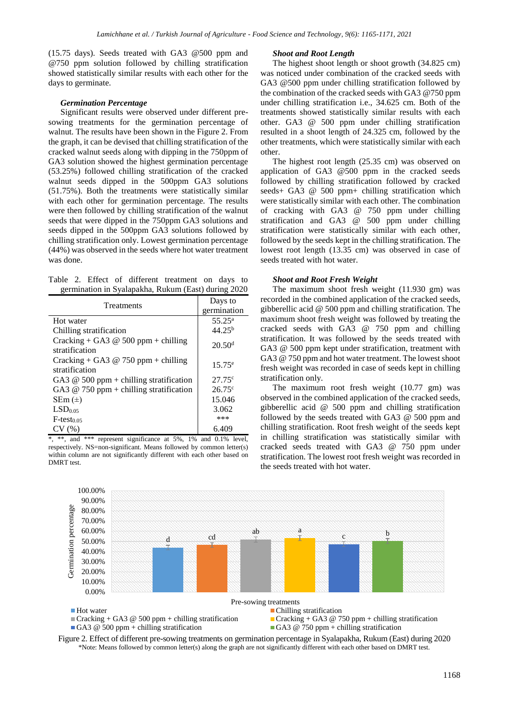(15.75 days). Seeds treated with GA3 @500 ppm and @750 ppm solution followed by chilling stratification showed statistically similar results with each other for the days to germinate.

## *Germination Percentage*

Significant results were observed under different presowing treatments for the germination percentage of walnut. The results have been shown in the Figure 2. From the graph, it can be devised that chilling stratification of the cracked walnut seeds along with dipping in the 750ppm of GA3 solution showed the highest germination percentage (53.25%) followed chilling stratification of the cracked walnut seeds dipped in the 500ppm GA3 solutions (51.75%). Both the treatments were statistically similar with each other for germination percentage. The results were then followed by chilling stratification of the walnut seeds that were dipped in the 750ppm GA3 solutions and seeds dipped in the 500ppm GA3 solutions followed by chilling stratification only. Lowest germination percentage (44%) was observed in the seeds where hot water treatment was done.

Table 2. Effect of different treatment on days to germination in Syalapakha, Rukum (East) during 2020

| Treatments                                              | Days to            |  |  |
|---------------------------------------------------------|--------------------|--|--|
|                                                         | germination        |  |  |
| Hot water                                               | $55.25^{\rm a}$    |  |  |
| Chilling stratification                                 | $44.25^{b}$        |  |  |
| Cracking + GA3 $@$ 500 ppm + chilling<br>stratification | 20.50 <sup>d</sup> |  |  |
| Cracking + GA3 $@$ 750 ppm + chilling<br>stratification | $15.75^{\circ}$    |  |  |
| GA3 $@$ 500 ppm + chilling stratification               | $27.75^{\circ}$    |  |  |
| GA3 $@$ 750 ppm + chilling stratification               | $26.75^{\circ}$    |  |  |
| $SEM (\pm)$                                             | 15.046             |  |  |
| LSD <sub>0.05</sub>                                     | 3.062              |  |  |
| $F$ -testo os                                           | ***                |  |  |
| CV(%)                                                   | 6.409              |  |  |

 $*$ ,  $**$ , and  $***$  represent significance at 5%, 1% and 0.1% level, respectively. NS=non-significant. Means followed by common letter(s) within column are not significantly different with each other based on DMRT test.

## *Shoot and Root Length*

The highest shoot length or shoot growth (34.825 cm) was noticed under combination of the cracked seeds with GA3 @500 ppm under chilling stratification followed by the combination of the cracked seeds with GA3 @750 ppm under chilling stratification i.e., 34.625 cm. Both of the treatments showed statistically similar results with each other. GA3 @ 500 ppm under chilling stratification resulted in a shoot length of 24.325 cm, followed by the other treatments, which were statistically similar with each other.

The highest root length (25.35 cm) was observed on application of GA3 @500 ppm in the cracked seeds followed by chilling stratification followed by cracked seeds+ GA3 @ 500 ppm+ chilling stratification which were statistically similar with each other. The combination of cracking with GA3 @ 750 ppm under chilling stratification and GA3 @ 500 ppm under chilling stratification were statistically similar with each other, followed by the seeds kept in the chilling stratification. The lowest root length (13.35 cm) was observed in case of seeds treated with hot water.

## *Shoot and Root Fresh Weight*

The maximum shoot fresh weight (11.930 gm) was recorded in the combined application of the cracked seeds, gibberellic acid @ 500 ppm and chilling stratification. The maximum shoot fresh weight was followed by treating the cracked seeds with GA3 @ 750 ppm and chilling stratification. It was followed by the seeds treated with GA3 @ 500 ppm kept under stratification, treatment with GA3 @ 750 ppm and hot water treatment. The lowest shoot fresh weight was recorded in case of seeds kept in chilling stratification only.

The maximum root fresh weight (10.77 gm) was observed in the combined application of the cracked seeds, gibberellic acid @ 500 ppm and chilling stratification followed by the seeds treated with GA3 @ 500 ppm and chilling stratification. Root fresh weight of the seeds kept in chilling stratification was statistically similar with cracked seeds treated with GA3 @ 750 ppm under stratification. The lowest root fresh weight was recorded in the seeds treated with hot water.



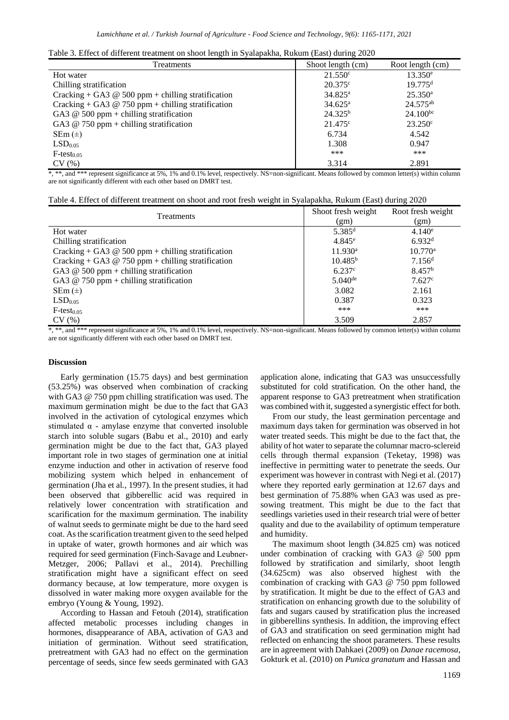|  | Table 3. Effect of different treatment on shoot length in Syalapakha, Rukum (East) during 2020 |  |  |  |  |
|--|------------------------------------------------------------------------------------------------|--|--|--|--|
|  |                                                                                                |  |  |  |  |

| ັ                 |                       |
|-------------------|-----------------------|
| Shoot length (cm) | Root length (cm)      |
| $21.550^{\circ}$  | $13.350^e$            |
| $20.375^{\circ}$  | $19.775$ <sup>d</sup> |
| $34.825^{\rm a}$  | $25.350^{\rm a}$      |
| $34.625^{\rm a}$  | $24.575^{ab}$         |
| $24.325^{b}$      | $24.100^{bc}$         |
| $21.475^{\circ}$  | $23.250^{\circ}$      |
| 6.734             | 4.542                 |
| 1.308             | 0.947                 |
| ***               | ***                   |
| 3.314             | 2.891                 |
|                   |                       |

\*, \*\*, and \*\*\* represent significance at 5%, 1% and 0.1% level, respectively. NS=non-significant. Means followed by common letter(s) within column are not significantly different with each other based on DMRT test.

Table 4. Effect of different treatment on shoot and root fresh weight in Syalapakha, Rukum (East) during 2020

| <b>Treatments</b>                                    | Shoot fresh weight   | Root fresh weight  |  |
|------------------------------------------------------|----------------------|--------------------|--|
|                                                      | (gm)                 | (gm)               |  |
| Hot water                                            | $5.385$ <sup>d</sup> | $4.140^e$          |  |
| Chilling stratification                              | $4.845^{\circ}$      | 6.932 <sup>d</sup> |  |
| Cracking + GA3 $@$ 500 ppm + chilling stratification | $11.930^{\rm a}$     | $10.770^{\rm a}$   |  |
| Cracking + GA3 $@$ 750 ppm + chilling stratification | 10.485 <sup>b</sup>  | 7.156 <sup>d</sup> |  |
| GA3 $@$ 500 ppm + chilling stratification            | 6.237c               | 8.457 <sup>b</sup> |  |
| GA3 $@$ 750 ppm + chilling stratification            | $5.040^{\text{de}}$  | $7.627^{\circ}$    |  |
| $SEm (\pm)$                                          | 3.082                | 2.161              |  |
| LSD <sub>0.05</sub>                                  | 0.387                | 0.323              |  |
| $F$ -test <sub>0.05</sub>                            | ***                  | ***                |  |
| CV(%)                                                | 3.509                | 2.857              |  |

\*, \*\*, and \*\*\* represent significance at 5%, 1% and 0.1% level, respectively. NS=non-significant. Means followed by common letter(s) within column are not significantly different with each other based on DMRT test.

## **Discussion**

Early germination (15.75 days) and best germination (53.25%) was observed when combination of cracking with GA3 @ 750 ppm chilling stratification was used. The maximum germination might be due to the fact that GA3 involved in the activation of cytological enzymes which stimulated  $\alpha$  - amylase enzyme that converted insoluble starch into soluble sugars (Babu et al., 2010) and early germination might be due to the fact that, GA3 played important role in two stages of germination one at initial enzyme induction and other in activation of reserve food mobilizing system which helped in enhancement of germination (Jha et al*.,* 1997). In the present studies, it had been observed that gibberellic acid was required in relatively lower concentration with stratification and scarification for the maximum germination. The inability of walnut seeds to germinate might be due to the hard seed coat. As the scarification treatment given to the seed helped in uptake of water, growth hormones and air which was required for seed germination (Finch‐Savage and Leubner‐ Metzger, 2006; Pallavi et al., 2014). Prechilling stratification might have a significant effect on seed dormancy because, at low temperature, more oxygen is dissolved in water making more oxygen available for the embryo (Young & Young, 1992).

According to Hassan and Fetouh (2014), stratification affected metabolic processes including changes in hormones, disappearance of ABA, activation of GA3 and initiation of germination. Without seed stratification, pretreatment with GA3 had no effect on the germination percentage of seeds, since few seeds germinated with GA3

application alone, indicating that GA3 was unsuccessfully substituted for cold stratification. On the other hand, the apparent response to GA3 pretreatment when stratification was combined with it, suggested a synergistic effect for both.

From our study, the least germination percentage and maximum days taken for germination was observed in hot water treated seeds. This might be due to the fact that, the ability of hot water to separate the columnar macro-sclereid cells through thermal expansion (Teketay, 1998) was ineffective in permitting water to penetrate the seeds. Our experiment was however in contrast with Negi et al. (2017) where they reported early germination at 12.67 days and best germination of 75.88% when GA3 was used as presowing treatment. This might be due to the fact that seedlings varieties used in their research trial were of better quality and due to the availability of optimum temperature and humidity.

The maximum shoot length (34.825 cm) was noticed under combination of cracking with GA3 @ 500 ppm followed by stratification and similarly, shoot length (34.625cm) was also observed highest with the combination of cracking with GA3 @ 750 ppm followed by stratification. It might be due to the effect of GA3 and stratification on enhancing growth due to the solubility of fats and sugars caused by stratification plus the increased in gibberellins synthesis. In addition, the improving effect of GA3 and stratification on seed germination might had reflected on enhancing the shoot parameters. These results are in agreement with Dahkaei (2009) on *Danae racemosa*, Gokturk et al. (2010) on *Punica granatum* and Hassan and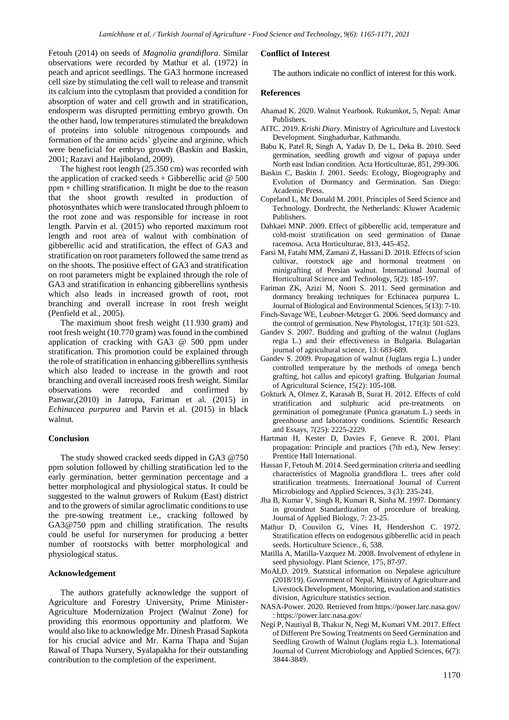Fetouh (2014) on seeds of *Magnolia grandiflora*. Similar observations were recorded by Mathur et al. (1972) in peach and apricot seedlings. The GA3 hormone increased cell size by stimulating the cell wall to release and transmit its calcium into the cytoplasm that provided a condition for absorption of water and cell growth and in stratification, endosperm was disrupted permitting embryo growth. On the other hand, low temperatures stimulated the breakdown of proteins into soluble nitrogenous compounds and formation of the amino acids' glycine and arginine, which were beneficial for embryo growth (Baskin and Baskin, 2001; Razavi and Hajiboland, 2009).

The highest root length (25.350 cm) was recorded with the application of cracked seeds + Gibberellic acid @ 500 ppm + chilling stratification. It might be due to the reason that the shoot growth resulted in production of photosynthates which were translocated through phloem to the root zone and was responsible for increase in root length. Parvin et al*.* (2015) who reported maximum root length and root area of walnut with combination of gibberellic acid and stratification, the effect of GA3 and stratification on root parameters followed the same trend as on the shoots. The positive effect of GA3 and stratification on root parameters might be explained through the role of GA3 and stratification in enhancing gibberellins synthesis which also leads in increased growth of root, root branching and overall increase in root fresh weight (Penfield et al*.,* 2005).

The maximum shoot fresh weight (11.930 gram) and root fresh weight (10.770 gram) was found in the combined application of cracking with GA3 @ 500 ppm under stratification. This promotion could be explained through the role of stratification in enhancing gibberellins synthesis which also leaded to increase in the growth and root branching and overall increased roots fresh weight. Similar observations were recorded and confirmed by Panwar*,*(2010) in Jatropa, Fariman et al. (2015) in *Echinacea purpurea* and Parvin et al. (2015) in black walnut.

## **Conclusion**

The study showed cracked seeds dipped in GA3 @750 ppm solution followed by chilling stratification led to the early germination, better germination percentage and a better morphological and physiological status. It could be suggested to the walnut growers of Rukum (East) district and to the growers of similar agroclimatic conditions to use the pre-sowing treatment i.e., cracking followed by GA3@750 ppm and chilling stratification. The results could be useful for nurserymen for producing a better number of rootstocks with better morphological and physiological status.

# **Acknowledgement**

The authors gratefully acknowledge the support of Agriculture and Forestry University, Prime Minister-Agriculture Modernization Project (Walnut Zone) for providing this enormous opportunity and platform. We would also like to acknowledge Mr. Dinesh Prasad Sapkota for his crucial advice and Mr. Karna Thapa and Sujan Rawal of Thapa Nursery, Syalapakha for their outstanding contribution to the completion of the experiment.

# **Conflict of Interest**

The authors indicate no conflict of interest for this work.

#### **References**

- Ahamad K. 2020. Walnut Yearbook*.* Rukumkot, 5, Nepal: Amar Publishers.
- AITC. 2019. *Krishi Diary*. Ministry of Agriculture and Livestock Development. Singhadurbar, Kathmandu.
- Babu K, Patel R, Singh A, Yadav D, De L, Deka B. 2010. Seed germination, seedling growth and vigour of papaya under North east Indian condition. Acta Horticulturae, 851, 299-306.
- Baskin C, Baskin J. 2001. Seeds: Ecology, Biogeography and Evolution of Dormancy and Germination. San Diego: Academic Press.
- Copeland L, Mc Donald M. 2001. Principles of Seed Science and Technology. Dordrecht, the Netherlands: Kluwer Academic Publishers.
- Dahkaei MNP. 2009. Effect of gibberellic acid, temperature and cold-moist stratification on seed germination of Danae racemosa. Acta Horticulturae, 813, 445-452.
- Farsi M, Fatahi MM, Zamani Z, Hassani D. 2018. Effects of scion cultivar, rootstock age and hormonal treatment on minigrafting of Persian walnut. International Journal of Horticultural Science and Technology, 5(2): 185-197.
- Fariman ZK, Azizi M, Noori S. 2011. Seed germination and dormancy breaking techniques for Echinacea purpurea L. Journal of Biological and Environmental Sciences, 5(13): 7-10.
- Finch‐Savage WE, Leubner‐Metzger G. 2006. Seed dormancy and the control of germination. New Phytologist, 171(3): 501-523.
- Gandev S. 2007. Budding and grafting of the walnut (Juglans regia L.) and their effectiveness in Bulgaria. Bulagarian journal of agricultural science, 13: 683-689.
- Gandev S. 2009. Propagation of walnut (Juglans regia L.) under controlled temperature by the methods of omega bench grafting, hot callus and epicotyl grafting. Bulgarian Journal of Agricultural Science, 15(2): 105-108.
- Gokturk A, Olmez Z, Karasah B, Surat H. 2012. Effects of cold stratification and sulphuric acid pre-treatments on germination of pomegranate (Punica granatum L.) seeds in greenhouse and laboratory conditions. Scientific Research and Essays, 7(25): 2225-2229.
- Hartman H, Kester D, Davies F, Geneve R. 2001. Plant propagation: Principle and practices (7th ed.), New Jersey: Prentice Hall International.
- Hassan F, Fetouh M. 2014. Seed germination criteria and seedling characteristics of Magnolia grandiflora L. trees after cold stratification treatments. International Journal of Current Microbiology and Applied Sciences, 3 (3): 235-241.
- Jha B, Kumar V, Singh R, Kumari R, Sinha M. 1997. Dormancy in groundnut Standardization of procedure of breaking. Journal of Applied Biology, 7: 23-25.
- Mathur D, Couvilon G, Vines H, Hendershott C. 1972. Stratification effects on endogenous gibberellic acid in peach seeds. Horticulture Science., 6, 538.
- Matilla A, Matilla-Vazquez M. 2008. Involvement of ethylene in seed physiology. Plant Science, 175, 87-97.
- MoALD. 2019. Statstical information on Nepalese agriculture (2018/19). Government of Nepal, Ministry of Agriculture and Livestock Development, Monitoring, evaulation and statistics division, Agriculture statistics section.
- NASA-Power. 2020. Retrieved from https://power.larc.nasa.gov/ : https://power.larc.nasa.gov/
- Negi P, Nautiyal B, Thakur N, Negi M, Kumari VM. 2017. Effect of Different Pre Sowing Treatments on Seed Germination and Seedling Growth of Walnut (Juglans regia L.). International Journal of Current Microbiology and Applied Sciences, 6(7): 3844-3849.